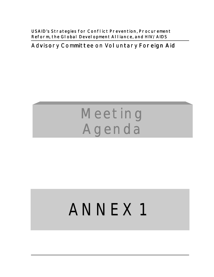**USAID's Strategies for Conflict Prevention, Procurement** Reform, the Global Development Alliance, and HIV/AIDS

**Advisory Committee on Voluntary Foreign Aid** 

# **Meeting Agenda**

# ANNEX 1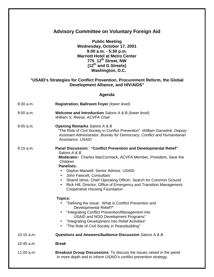| <b>Advisory Committee on Voluntary Foreign Aid</b>                                                                                                                                                              |                                                                                                                                                                                                                                                                                                                                                                                                                                                                                 |  |
|-----------------------------------------------------------------------------------------------------------------------------------------------------------------------------------------------------------------|---------------------------------------------------------------------------------------------------------------------------------------------------------------------------------------------------------------------------------------------------------------------------------------------------------------------------------------------------------------------------------------------------------------------------------------------------------------------------------|--|
| <b>Public Meeting</b><br>Wednesday, October 17, 2001<br>$9:00$ a.m. $-5:30$ p.m.<br><b>Marriott Hotel at Metro Center</b><br>775 12th Street, NW<br>(12 <sup>th</sup> and G Streets)<br><b>Washington, D.C.</b> |                                                                                                                                                                                                                                                                                                                                                                                                                                                                                 |  |
| "USAID's Strategies for Conflict Prevention, Procurement Reform, the Global<br><b>Development Alliance, and HIV/AIDS"</b>                                                                                       |                                                                                                                                                                                                                                                                                                                                                                                                                                                                                 |  |
| Agenda                                                                                                                                                                                                          |                                                                                                                                                                                                                                                                                                                                                                                                                                                                                 |  |
| $8:30$ a.m.                                                                                                                                                                                                     | Registration, Ballroom Foyer (lower level)                                                                                                                                                                                                                                                                                                                                                                                                                                      |  |
| $9:00$ a.m.                                                                                                                                                                                                     | <b>Welcome and Introduction</b> Salons A & B (lower level)<br>William S. Reese, ACVFA Chair                                                                                                                                                                                                                                                                                                                                                                                     |  |
| $9:05$ a.m.                                                                                                                                                                                                     | <b>Opening Remarks Salons A &amp; B</b><br>"The Role of Civil Society in Conflict Prevention" William Garvelink, Deputy<br>Assistant Administrator, Bureau for Democracy, Conflict and Humanitarian<br>Assistance, USAID                                                                                                                                                                                                                                                        |  |
| 9:15 a.m.                                                                                                                                                                                                       | <b>Panel Discussion: "Conflict Prevention and Developmental Relief"</b><br>Salons A & B<br>Moderator: Charles MacCormack, ACVFA Member, President, Save the<br>Children<br><b>Panelists:</b><br>Dayton Maxwell, Senior Advisor, USAID<br>John Fawcett, Consultant<br>$\bullet$<br>Shamil Idriss, Chief Operating Officer, Search for Common Ground<br>Rick Hill, Director, Office of Emergency and Transition Management,<br>$\bullet$<br><b>Cooperative Housing Foundation</b> |  |
|                                                                                                                                                                                                                 | <b>Topics:</b><br>"Defining the Issue: What is Conflict Prevention and<br>Developmental Relief?"<br>"Integrating Conflict Prevention/Management into<br>$\bullet$<br>USAID and NGO Development Programs"<br>"Integrating Development Into Relief Activities"<br>"The Role of Civil Society in Peacebuilding"                                                                                                                                                                    |  |
| $10:15$ a.m.                                                                                                                                                                                                    | Questions and Answers/Audience Discussion Salons A & B                                                                                                                                                                                                                                                                                                                                                                                                                          |  |
| 10:45 a.m                                                                                                                                                                                                       | <b>Break</b>                                                                                                                                                                                                                                                                                                                                                                                                                                                                    |  |
| 11:00 a.m.                                                                                                                                                                                                      | <b>Breakout Group Discussions:</b> To discuss the issues raised in the panel<br>in more depth and to inform USAID's conflict prevention strategy.                                                                                                                                                                                                                                                                                                                               |  |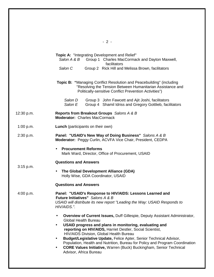|            | $-2-$                                                                                                                                                                                                                                                                                                                                                                                                                                                                                                                                                               |
|------------|---------------------------------------------------------------------------------------------------------------------------------------------------------------------------------------------------------------------------------------------------------------------------------------------------------------------------------------------------------------------------------------------------------------------------------------------------------------------------------------------------------------------------------------------------------------------|
|            | <b>Topic A: "Integrating Development and Relief"</b><br>Salon A & B Group 1 Charles MacCormack and Dayton Maxwell,<br>facilitators<br>Salon C<br>Group 2 Rick Hill and Melissa Brown, facilitators                                                                                                                                                                                                                                                                                                                                                                  |
|            | Topic B: "Managing Conflict Resolution and Peacebuilding" (including<br>"Resolving the Tension Between Humanitarian Assistance and<br>Politically-sensitive Conflict Prevention Activities")                                                                                                                                                                                                                                                                                                                                                                        |
|            | Salon D<br>Group 3 John Fawcett and Ajit Joshi, facilitators<br>Salon E<br>Group 4 Shamil Idriss and Gregory Gottlieb, facilitators                                                                                                                                                                                                                                                                                                                                                                                                                                 |
| 12:30 p.m. | <b>Reports from Breakout Groups</b> Salons A & B<br><b>Moderator: Charles MacCormack</b>                                                                                                                                                                                                                                                                                                                                                                                                                                                                            |
| 1:00 p.m.  | <b>Lunch</b> (participants on their own)                                                                                                                                                                                                                                                                                                                                                                                                                                                                                                                            |
| 2:30 p.m.  | Panel: "USAID's New Way of Doing Business" Salons A & B<br>Moderator: Peggy Curlin, ACVFA Vice Chair, President, CEDPA                                                                                                                                                                                                                                                                                                                                                                                                                                              |
|            | <b>Procurement Reforms</b><br>Mark Ward, Director, Office of Procurement, USAID                                                                                                                                                                                                                                                                                                                                                                                                                                                                                     |
| 3:15 p.m.  | <b>Questions and Answers</b>                                                                                                                                                                                                                                                                                                                                                                                                                                                                                                                                        |
|            | The Global Development Alliance (GDA)<br>$\bullet$<br>Holly Wise, GDA Coordinator, USAID                                                                                                                                                                                                                                                                                                                                                                                                                                                                            |
|            | <b>Questions and Answers</b>                                                                                                                                                                                                                                                                                                                                                                                                                                                                                                                                        |
| 4:00 p.m.  | Panel: "USAID's Response to HIV/AIDS: Lessons Learned and<br>Future Initiatives" Salons A & B<br>USAID will distribute its new report "Leading the Way: USAID Responds to<br>HIV/AIDS.".                                                                                                                                                                                                                                                                                                                                                                            |
|            | Overview of Current Issues, Duff Gillespie, Deputy Assistant Administrator,<br>$\bullet$<br><b>Global Health Bureau</b><br>USAID progress and plans in monitoring, evaluating and<br>reporting on HIV/AIDS, Harriet Destler, Social Scientist,<br>HIV/AIDS Division, Global Health Bureau<br>Budget/Legislative Update, Felice Apter, Senior Technical Advisor,<br>$\bullet$<br>Population, Health and Nutrition, Bureau for Policy and Program Coordination<br><b>CORE Values Initiative, Warren (Buck) Buckingham, Senior Technical</b><br>Advisor, Africa Bureau |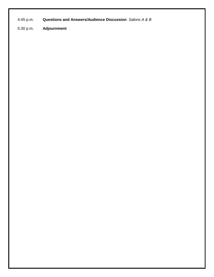4:45 p.m. **Questions and Answers/Audience Discussion** *Salons A & B*

5:30 p.m. **Adjournment**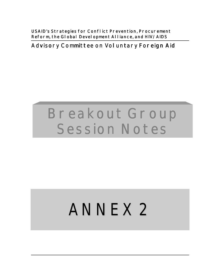**USAID's Strategies for Conflict Prevention, Procurement** Reform, the Global Development Alliance, and HIV/AIDS

**Advisory Committee on Voluntary Foreign Aid** 

# **Breakout Group Session Notes**

# ANNEX 2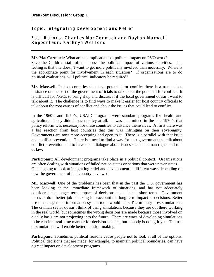# **Topic: Integrating Devel opment and Relief**

#### **Facilitators: Charles MacCormack and Dayton Maxwell Rapporteur: Kathryn Wolford**

**Mr. MacCormack**: What are the implications of political impact on PVO work?

Save the Children staff often discuss the political impact of various activities. The feeling is that one doesn't want to get more politically involved than necessary. Where is the appropriate point for involvement in each situation? If organizations are to do political evaluations, will political indicators be required?

**Mr. Maxwell**: In host countries that have potential for conflict there is a tremendous hesitance on the part of the government officials to talk about the potential for conflict. It is difficult for NGOs to bring it up and discuss it if the local government doesn't want to talk about it. The challenge is to find ways to make it easier for host country officials to talk about the root causes of conflict and about the issues that could lead to conflict.

In the 1960's and 1970's, USAID programs were standard programs like health and agriculture. They didn't touch policy at all. It was determined in the late 1970's that policy reform was necessary for these countries to advance themselves. At first there was a big reaction from host countries that this was infringing on their sovereignty. Governments are now more accepting and open to it. There is a parallel with that issue and conflict prevention. There is a need to find a way for host governments to talk about conflict prevention and to have open dialogue about issues such as human rights and rule of law.

**Participant:** All development programs take place in a political context. Organizations are often dealing with situations of failed nation states or nations that were never states. One is going to look at integrating relief and development in different ways depending on how the government of that country is viewed.

**Mr. Maxwell:** One of the problems has been that in the past the U.S. government has been looking at the immediate framework of situations, and has not adequately considered the longer term impact of decisions made in the short-term. Government needs to do a better job of taking into account the long-term impact of decisions. Better use of management information system tools would help. The military uses simulations. The civilian sector doesn't think of using simulations because they are out there working in the real world, but sometimes the wrong decisions are made because those involved on a daily basis are not projecting into the future. There are ways of developing simulations to be run in a real time manner for decision-makers, but nobody is doing it yet. The use of simulations will enable better decision-making.

Participant: Sometimes political reasons cause people not to look at all of the options. Political decisions that are made, for example, to maintain political boundaries, can have a great impact on development programs.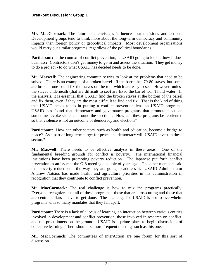**Mr. MacCormack**: The future one envisages influences our decisions and actions. Development groups tend to think more about the long-term democracy and community impacts than foreign policy or geopolitical impacts. Most development organizations would carry out similar programs, regardless of the political boundaries.

**Participant:** In the context of conflict prevention, is USAID going to look at how it does business? Contractors don't get money to go in and assess the situation. They get money to do a project - to do what USAID has decided needs to be done.

**Mr. Maxwell:** The engineering community tries to look at the problems that need to be solved. There is an example of a broken barrel. If the barrel has 70-80 staves, but some are broken, one could fix the staves on the top, which are easy to see. However, unless the staves underneath (that are difficult to see) are fixed the barrel won't hold water. In the analysis, it is essential that USAID find the broken staves at the bottom of the barrel and fix them, even if they are the most difficult to find and fix. That is the kind of thing that USAID needs to do in putting a conflict prevention lens on USAID programs. USAID has found that democracy and governance programs that promote elections sometimes evoke violence around the elections. How can these programs be reoriented so that violence is not an outcome of democracy and elections?

**Participant:** How can other sectors, such as health and education, become a bridge to peace? As a part of long-term target for peace and democracy will USAID invest in these sectors?

**Mr. Maxwell**: There needs to be effective analysis in these areas. One of the fundamental breeding grounds for conflict is poverty. The international financial institutions have been promoting poverty reduction. The Japanese put forth conflict prevention as an issue at the G-8 meeting a couple of years ago. The other members said that poverty reduction is the way they are going to address it. USAID Administrator Andrew Natsios has made health and agriculture priorities in his administration in recognition that they contribute to conflict prevention.

**Mr. MacCormack:** The real challenge is how to mix the programs practically. Everyone recognizes that all of these programs - those that are crosscutting and those that are central pillars - have to get done. The challenge for USAID is not to overwhelm programs with so many mandates that they fall apart.

**Participant:** There is a lack of a locus of learning, an interaction between various entities involved in development and conflict prevention, those involved in research on conflict, and the practitioners on the ground. USAID is a prime place to begin discussions of collective learning. There should be more frequent meetings such as this one.

**Mr. MacCormack**: The committees of InterAction are one forum for this sort of discussion.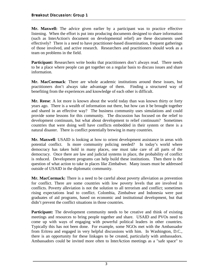**Mr. Maxwell:** The advice given earlier by a participant was to practice effective listening. When the effort is put into producing documents designed to share information (such as InterAction's document on developmental relief) are these documents used effectively? There is a need to have practitioner-based dissemination, frequent gatherings of those involved, and active research. Researchers and practitioners should work as a team on problems in the field.

**Participant:** Researchers write books that practitioners don't always read. There needs to be a place where people can get together on a regular basis to discuss issues and share information.

**Mr. MacCormack**: There are whole academic institutions around these issues, but practitioners don't always take advantage of them. Finding a structured way of benefiting from the experiences and knowledge of each other is difficult.

**Mr. Reese**: A lot more is known about the world today than was known thirty or forty years ago. There is a wealth of information out there, but how can it be brought together and shared in an effective way? The business community uses simulations and could provide some lessons for this community. The discussion has focused on the relief to development continuum, but what about development to relief continuum? Sometimes countries that were doing well have conflicts embedded in their system or there is a natural disaster. There is conflict potentially brewing in many countries.

**Mr. Maxwell**: USAID is looking at how to orient development assistance in areas with potential conflict. Is more community policing needed? In today's world where democracy has taken hold in many places, one must take care of all parts of the democracy. Once there are law and judicial systems in place, the probability of conflict is reduced. Development programs can help build these institutions. Then there is the question of what action to take in places like Zimbabwe. Many issues must be addressed outside of USAID in the diplomatic community.

**Mr. MacCormack:** There is a need to be careful about poverty alleviation as prevention for conflict. There are some countries with low poverty levels that are involved in conflicts. Poverty alleviation is not the solution to all terrorism and conflict; sometimes rising expectations lead to conflict. Colombia, Zimbabwe and Indonesia were past graduates of aid programs, based on economic and institutional development, but that didn't prevent the conflict situations in those countries.

**Participant:** The development community needs to be creative and think of existing meetings and resources to bring people together and share. USAID and PVOs need to come up with ways of engaging with powerful political leaders in other countries. Typically this has not been done. For example, some NGOs met with the Ambassador from Eritrea and engaged in very helpful discussions with him. In Washington, D.C., there is an opportunity for these linkages to be created, particularly with ambassadors. Ambassadors could be invited more often to InterAction meetings as a "safe space" to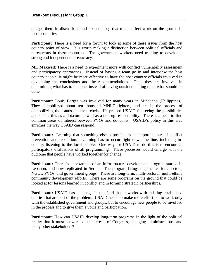engage them in discussions and open dialogs that might affect work on the ground in those countries.

**Participant**: There is a need for a forum to look at some of these issues from the host country point of view. It is worth making a distinction between political officials and bureaucrats in these countries. The government workers need training to develop a strong and independent bureaucracy.

**Mr. Maxwell**: There is a need to experiment more with conflict vulnerability assessment and participatory approaches. Instead of having a team go in and interview the host country people, it might be more effective to have the host country officials involved in developing the conclusions and the recommendations. Then they are involved in determining what has to be done, instead of having outsiders telling them what should be done.

Participant: Louis Berger was involved for many years in Mindanao (Philippines). They demobilized about ten thousand MNLF fighters, and are in the process of demobilizing thousands of other rebels. He praised USAID for seeing the possibilities and seeing this as a dot.com as well as a dot.org responsibility. There is a need to find common areas of interest between PVOs and dot.coms. USAID's policy in this area enriches the way USAID can respond.

**Participant:** Learning that something else is possible is an important part of conflict prevention and resolution. Learning has to occur right down the line, including incountry listening to the local people. One way for USAID to do this is to encourage participatory evaluations of all programming. These processes would emerge with the outcome that people have worked together for change.

**Participant:** There is an example of an infrastructure development program started in Lebanon, and now replicated in Serbia. The program brings together various sectors, NGOs, PVOs, and government groups. These are long-term, multi-sectoral, multi-ethnic community development efforts. There are some programs on the ground that could be looked at for lessons learned in conflict and in forming strategic partnerships.

**Participant:** USAID has an image in the field that it works with existing established entities that are part of the problem. USAID needs to make more effort not to work only with the established government and groups, but to encourage new people to be involved in the process and to give them a voice and participation.

**Participant**: How can USAID develop long-term programs in the light of the political reality that it must answer to the interests of Congress, changing administrations, and many other stakeholders?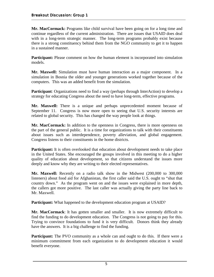**Mr. MacCormack:** Programs like child survival have been going on for a long time and continue regardless of the current administration. There are issues that USAID does deal with in a long-term strategic manner. The long-term programs probably exist because there is a strong constituency behind them from the NGO community to get it to happen in a sustained manner.

Participant: Please comment on how the human element is incorporated into simulation models.

**Mr. Maxwell:** Simulation must have human interaction as a major component. In a simulation in Bosnia the older and younger generations worked together because of the computers. This was an added benefit from the simulation.

**Participant**: Organizations need to find a way (perhaps through InterAction) to develop a strategy for educating Congress about the need to have long-term, effective programs.

**Mr. Maxwell:** There is a unique and perhaps unprecedented moment because of September 11. Congress is now more open to seeing that U.S. security interests are related to global security. This has changed the way people look at things.

**Mr. MacCormack:** In addition to the openness in Congress, there is more openness on the part of the general public. It is a time for organizations to talk with their constituents about issues such as interdependence, poverty alleviation, and global engagement. Congress listens to their constituents in the home districts.

**Participant:** It is often overlooked that education about development needs to take place in the United States. She encouraged the groups involved in this meeting to do a higher quality of education about development, so that citizens understand the issues more deeply and know why they are writing to their elected representatives.

**Mr. Maxwell:** Recently on a radio talk show in the Midwest (200,000 to 300,000 listeners) about food aid for Afghanistan, the first caller said the U.S. ought to "shut that country down." As the program went on and the issues were explained in more depth, the callers got more positive. The last caller was actually giving the party line back to Mr. Maxwell.

**Participant:** What happened to the development education program at USAID?

**Mr. MacCormack**: It has gotten smaller and smaller. It is now extremely difficult to find the funding to do development education. The Congress is not going to pay for this. Trying to convince foundations to fund it is very difficult. Donors think they already have the answers. It is a big challenge to find the funding.

**Participant:** The PVO community as a whole can and ought to do this. If there were a minimum commitment from each organization to do development education it would benefit everyone.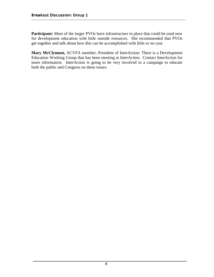**Participant:** Most of the larger PVOs have infrastructure in place that could be used now for development education with little outside resources. She recommended that PVOs get together and talk about how this can be accomplished with little or no cost.

**Mary McClymont,** ACVFA member, President of InterAction: There is a Development Education Working Group that has been meeting at InterAction. Contact InterAction for more information. InterAction is going to be very involved in a campaign to educate both the public and Congress on these issues.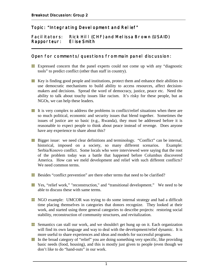### Topic: "Integrating Devel opment and Relief"

#### Facil itators: Rick Hill (CHF) and Melissa Brown (USAID) **Rapporteur: Elise Smith**

#### **Open for comments/questions from main panel discussion:**

Expressed concern that the panel experts could not come up with any "diagnostic tools" to predict conflict (other than staff in country).

**\_\_\_\_\_\_\_\_\_\_\_\_\_\_\_\_\_\_\_\_\_\_\_\_\_\_\_\_\_\_\_\_\_\_\_\_\_\_\_\_\_\_\_\_\_\_\_\_\_\_\_\_\_\_\_\_\_\_\_\_\_\_\_\_\_\_\_\_\_\_\_\_**

- Key is finding good people and institutions, protect them and enhance their abilities to use democratic mechanisms to build ability to access resources, affect decisionmakers and decisions. Spread the word of democracy, justice, peace etc. Need the ability to talk about touchy issues like racism. It's risky for these people, but as NGOs, we can help these leaders.
- It is very complex to address the problems in conflict/relief situations when there are H. so much political, economic and security issues that blend together. Sometimes the issues of justice are so basic (e.g., Rwanda), they must be addressed before it is reasonable to expect people to think about peace instead of revenge. Does anyone have any experience to share about this?
- **Bigger issue:** we need clear definitions and terminology. "Conflict" can be internal, historical, imposed on a society, so many different scenarios. Example: Serbia/Kosovo conflict. Some locals who were interviewed were saying that the root of the problem today was a battle that happened before Columbus discovered America. How can we meld development and relief with such different conflicts? We need common terms.
- Besides "conflict prevention" are there other terms that need to be clarified?
- Yes, "relief work," "reconstruction," and "transitional development." We need to be able to discuss these with same terms.
- **NGO** example: UMCOR was trying to do some internal strategy and had a difficult time placing themselves in categories that donors recognize. They looked at their work, and started using three general categories to describe projects: restoring social stability, reconstruction of community structures, and revitalization.
- Semantics can stall our work, and we shouldn't get hung up on it. Each organization will find its own language and way to deal with the development/relief dynamic. It is more useful to share experiences and ideas and models for successful programs.
- In the broad category of "relief" you are doing something very specific, like providing basic needs (food, housing), and this is mostly just given to people (even though we don't like to do "hand-outs" in our work.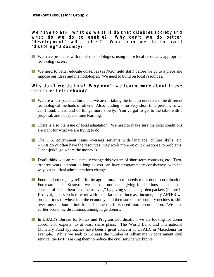#### We have to ask: what do we still do that disables society and what do we do to enable? Why can't we do better "devel opment" with relief? What can we do to avoid **"disabling" a society? society?**

- We have problems with relief methodologies, using more local resources, appropriate technologies, etc.
- We need to better educate ourselves (as NGO field staff) before we go to a place and impose our ideas and methodologies. We need to build on local resources.

#### Why don't we do this? Why don't we learn more about these **countries beforehand?**

- We are a fast-paced culture, and we aren't taking the time to understand the different technological methods of others. Also, funding is for very short time periods, so we can't think ahead and do things more slowly. You've got to get to the table with a proposal, and not spend time learning.
- $\blacksquare$  There is also the issue of local adaptation. We need to make sure the local conditions are right for what we are trying to do.
- The U.S. government trains overseas servants with language, culture skills, etc. NGOs don't often have the resources; they work more on quick response to problems, "knee-jerk", go where the money is.
- **Don't think we can realistically change this system of short-term contracts, etc.** Twoto-three years is about as long as you can have programmatic consistency, with the way our political administrations change.
- **Food and emergency relief in the agricultural sector needs more donor coordination.** For example, in Kosovo: we had this notion of giving food rations, and then the concept of "help them feed themselves," by giving seed and garden packets (failure in Kosovo), next step is to work with local farmer to increase income, only AFTER we brought tons of wheat into the economy, and then some other country decides to ship over tons of flour....time frame for these efforts need more coordination. We need earlier economic discussions among large donors.
- In USAID's Bureau for Policy and Program Coordination, we are looking for donor H coordinator experts, to at least share plans. The World Bank and International Monetary Fund approaches have been a great concern of USAID, in Macedonia for example. While we seek to increase the number of Albanians in government civil service, the IMF is asking them to reduce the civil service workforce.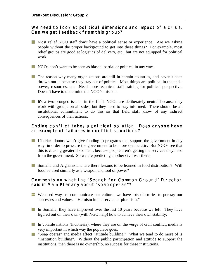#### We need to look at political dimensions and impact of a crisis. Can we get feedback from this group?

- **Most relief NGO staff don't have a political sense or experience.** Are we asking people without the proper background to get into these things? For example, most relief groups are good at logistics of delivery, etc., but are not equipped for political work.
- **NGOs** don't want to be seen as biased, partial or political in any way.
- **The reason why many organizations are still in certain countries, and haven't been** thrown out is because they stay out of politics. Most things are political in the end power, resources, etc. Need more technical staff training for political perspective. Doesn't have to undermine the NGO's mission.
- It's a two-pronged issue: in the field, NGOs are deliberately neutral because they work with groups on all sides, but they need to stay informed. There should be an institutional commitment to do this so that field staff know of any indirect consequences of their actions.

#### Ending conflict takes a political solution. Does anyone have **an example of failures in conflict situations? failures in conflict situations?**

- **Liberia:** donors won't give funding to programs that support the government in any way, in order to pressure the government to be more democratic. But NGOs see that this is causing greater discontent, because people aren't getting the services they need from the government. So we are predicting another civil war there.
- Somalia and Afghanistan: are there lessons to be learned in food distribution? Will food be used similarly as a weapon and tool of power?

#### **Comments on what the "Search for Common Ground" Director** said in Main Plenary about "soap operas"?

- We need ways to communicate our culture; we have lots of stories to portray our successes and values. "Heroism in the service of pluralism."
- In Somalia, they have improved over the last 10 years because we left. They have figured out on their own (with NGO help) how to achieve their own stability.
- In volatile nations (Indonesia), where they are on the verge of civil conflict, media is very important in which way the populace goes.
- **T** "Soap operas" and media affect "attitude building." What we tend to do more of is "institution building". Without the public participation and attitude to support the institutions, then there is no ownership, no success for these institutions.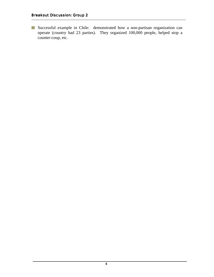Successful example in Chile: demonstrated how a non-partisan organization can operate (country had 23 parties). They organized 100,000 people, helped stop a counter-coup, etc.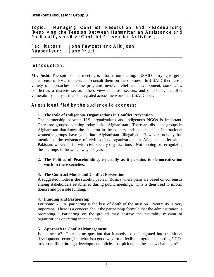#### **Topic: Managing Conflict Resolution and Peacebuilding (Resolving the Tension Between Humanitarian Assistance and Political I y-sensitive Conflict Prevention Activities)**

**\_\_\_\_\_\_\_\_\_\_\_\_\_\_\_\_\_\_\_\_\_\_\_\_\_\_\_\_\_\_\_\_\_\_\_\_\_\_\_\_\_\_\_\_\_\_\_\_\_\_\_\_\_\_\_\_\_\_\_\_\_\_\_\_\_\_\_\_\_\_\_\_**

Facilitators: John Fawcett and Ajit Joshi **Rapporteur: Rapporteur:Jane Pratt Jane Pratt** 

#### **Introduction:**

**Mr. Joshi:** The spirit of the meeting is information sharing. USAID is trying to get a better sense of PVO interests and consult them on these issues. In USAID there are a variety of approaches – some programs involve relief and development, some view conflict as a discrete sector, others view it across sectors, and others have conflict vulnerability analysis that is integrated across the work that USAID does.

#### **Areas identified by the audience to address: Areas identified by the ience address:**

#### **1. The Role of Indigenous Organizations in Conflict Prevention**

The partnership between U.S. organizations and indigenous NGOs is important. There are groups operating today inside Afghanistan. There are dissident groups in Afghanistan that know the situation in the country and talk about it. International women's groups have gone into Afghanistan (illegally). However, nobody has mentioned the existence of civil society organizations in Afghanistan, let alone Pakistan, which is rife with civil society organizations. Not tapping or recognizing these groups is throwing away a key asset.

#### **2. The Politics of Peacebuilding, especially as it pertains to democratization work in these societies.**

#### **3. The Contract Model and Conflict Prevention**

A suggested model is the stability pacts in Bosnia where plans are based on consensus among stakeholders established during public meetings. This is then used to inform donors and possible funding.

#### **4. Funding and Partnership**

For some NGOs, partnering is the kiss of death of the mission. Neutrality is very important. There is a concern about the partnership formula that the administration is promoting. Partnering on the ground may destroy the neutrality mission of organizations operating in the country.

#### **5. Approach to Conflict Management**

Is it a sector? There is no question that it needs to be integrated into traditional development sectors, but what is a good way for a flexible program supporting NGOs to start to filter through development policies that pick up on these new challenges?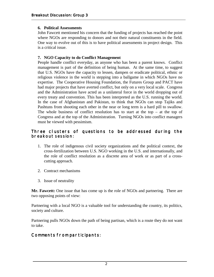#### **6. Political Assessments**

John Fawcett mentioned his concern that the funding of projects has reached the point where NGOs are responding to donors and not their natural constituents in the field. One way to evolve out of this is to have political assessments in project design. This is a critical issue.

#### **7. NGO Capacity to do Conflict Management**

People handle conflict everyday, as anyone who has been a parent knows. Conflict management is part of the definition of being human. At the same time, to suggest that U.S. NGOs have the capacity to lessen, dampen or eradicate political, ethnic or religious violence in the world is stepping into a ballgame in which NGOs have no expertise. The Cooperative Housing Foundation, the Futures Group and PACT have had major projects that have averted conflict, but only on a very local scale. Congress and the Administration have acted as a unilateral force in the world dropping out of every treaty and convention. This has been interpreted as the U.S. running the world. In the case of Afghanistan and Pakistan, to think that NGOs can stop Tajiks and Pashtuns from shooting each other in the near or long term is a hard pill to swallow. The whole business of conflict resolution has to start at the top – at the top of Congress and at the top of the Administration. Turning NGOs into conflict managers must be viewed with pessimism.

#### Three clusters of questions to be addressed during the **breakout session: breakout session:**

- 1. The role of indigenous civil society organizations and the political context, the cross-fertilization between U.S. NGO working in the U.S. and internationally, and the role of conflict resolution as a discrete area of work or as part of a crosscutting approach.
- 2. Contract mechanisms
- 3. Issue of neutrality

**Mr. Fawcett:** One issue that has come up is the role of NGOs and partnering. There are two opposing points of view:

Partnering with a local NGO is a valuable tool for understanding the country, its politics, society and culture.

Partnering pulls NGOs down the path of being partisan, which is a route they do not want to take.

## **Comments from participants:**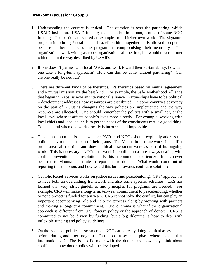- **1.** Understanding the country is critical. The question is over the partnering, which USAID insists on. USAID funding is a small, but important, portion of some NGO funding. The participant shared an example from his/her own work. The signature program is to bring Palestinian and Israeli children together. It is allowed to operate because neither side sees the program as compromising their neutrality. The organizations work with grassroots organizations all the time, but would never partner with them in the way described by USAID.
- 2. If one doesn't partner with local NGOs and work toward their sustainability, how can one take a long-term approach? How can this be done without partnering? Can anyone really be neutral?
- 3. There are different kinds of partnerships. Partnerships based on mutual agreement and a mutual mission are the best kind. For example, the Safe Motherhood Alliance that began in Nepal is now an international alliance. Partnerships have to be political – development addresses how resources are distributed. In some countries advocacy on the part of NGOs is changing the way policies are implemented and the way resources are allocated. One should remember the politics with a small 'p', at the local level where it affects people's lives more directly. For example, working with local chiefs and local councils to get the needs of the constituents met is a good thing. To be neutral when one works locally is incorrect and impossible.
- 4. This is an important issue whether PVOs and NGOs should explicitly address the political environment as part of their grants. The Mountain Institute works in conflict prone areas all the time and does political assessment work as part of its ongoing work. This is necessary. NGOs that work in conflict areas are always dealing with conflict prevention and resolution. Is this a common experience? It has never occurred to Mountain Institute to report this to donors. What would come out of reporting this to donors and how would this build towards conflict resolution?
- 5. Catholic Relief Services works on justice issues and peacebuilding. CRS' approach is to have both an overarching framework and also some specific activities. CRS has learned that very strict guidelines and principles for programs are needed. For example, CRS will make a long-term, ten-year commitment to peacebuilding, whether or not a project is funded for ten years. CRS cannot solve the conflict, but can play an important accompanying role and help the process along by working with partners and making a long-term commitment. One dilemma is what if the organizational approach is different from U.S. foreign policy or the approach of donors. CRS is committed to not be driven by funding, but a big dilemma is how to deal with inflexible funding and policy guidelines.
- 6. On the issues of political assessments NGOs are already doing political assessments before, during and after programs. In the post-assessment phase where does all that information go? The issues lie more with the donors and how they think about conflict and how donor policy will be developed.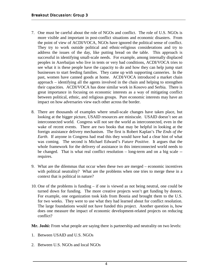- 7. One must be careful about the role of NGOs and conflict. The role of U.S. NGOs is more visible and important in post-conflict situations and economic disasters. From the point of view of ACDI/VOCA, NGOs have ignored the political sense of conflict. They try to work outside political and ethnic-religious considerations and try to address the issues of the day, like putting bread on the table. This approach is successful in identifying small-scale needs. For example, among internally displaced peoples in Azerbaijan who live in tents or very bad conditions, ACDI/VOCA tries to see what it is these people have the capacity to do and how they can help jump start businesses to start feeding families. They came up with supporting canneries. In the past, women have canned goods at home. ACDI/VOCA introduced a market chain approach – identifying all the agents involved in the chain and helping to strengthen their capacities. ACDI/VOCA has done similar work in Kosovo and Serbia. There is great importance in focusing on economic interests as a way of mitigating conflict between political, ethnic, and religious groups. Pure economic interests may have an impact on how adversaries view each other across the border.
- 8. There are thousands of examples where small-scale changes have taken place, but looking at the bigger picture, USAID resources are miniscule. USAID doesn't see an interconnected world. Congress will not see the world as interconnected, even in the wake of recent events. There are two books that may be helpful in looking at the foreign assistance delivery mechanism. The first is Robert Kaplan's *The Ends of the Earth*. If anyone in Congress had read this they would have had a clear hint of what was coming. The second is Michael Edward's *Future Positive*. It argues that the whole framework for the delivery of assistance in this interconnected world needs to be changed. That is what real conflict resolution – long-term and on a big scale - requires.
- 9. What are the dilemmas that occur when these two are merged economic incentives with political neutrality? What are the problems when one tries to merge these in a context that is political in nature?
- 10. One of the problems is funding if one is viewed as not being neutral, one could be turned down for funding. The more creative projects won't get funding by donors. For example, one organization took kids from Bosnia and brought them to the U.S. for two weeks. They were to use what they had learned about for conflict resolution. The large foundations would not have funded this project. Another question is, how does one measure the impact of economic development-related projects on reducing conflict?

**Mr. Joshi:** From what people are saying there is partnership and neutrality on two levels:

- 1. Between USAID and U.S. NGOs
- 2. Between U.S. NGOs and local NGOs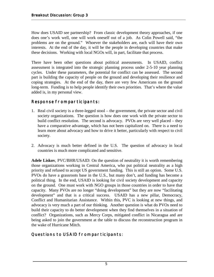How does USAID see partnership? From classic development theory approaches, if one does one's work well, one will work oneself out of a job. As Colin Powell said, "the problems are on the ground." Whoever the stakeholders are, each will have their own interests. At the end of the day, it will be the people in developing countries that make these decisions. Working with local NGOs will, in part, facilitate that process.

There have been other questions about political assessments. In USAID, conflict assessment is integrated into the strategic planning process under 2-5-10 year planning cycles. Under these parameters, the potential for conflict can be assessed. The second part is building the capacity of people on the ground and developing their resilience and coping strategies. At the end of the day, there are very few Americans on the ground long-term. Funding is to help people identify their own priorities. That's where the value added is, in my personal view.

## **Response from participants:**

- 1. Real civil society is a three-legged stool the government, the private sector and civil society organizations. The question is how does one work with the private sector to build conflict resolution. The second is advocacy. PVOs are very well placed – they have a comparative advantage, which has not been capitalized on. There is a need to learn more about advocacy and how to drive it better, particularly with respect to civil society.
- 2. Advocacy is much better defined in the U.S. The question of advocacy in local countries is much more complicated and sensitive.

**Adele Liskov**, PVC/BHR/USAID: On the question of neutrality it is worth remembering those organizations working in Central America, who put political neutrality as a high priority and refused to accept US government funding. This is still an option. Some U.S. PVOs do have a grassroots base in the U.S., but many don't, and funding has become a political thing. In the end, USAID is looking for civil society development and capacity on the ground. One must work with NGO groups in those countries in order to have that capacity. Many PVOs are no longer "doing development" but they are now "facilitating development" and that is a critical success. USAID has a new pillar, Democracy, Conflict and Humanitarian Assistance. Within this, PVC is looking at new things, and advocacy is very much a part of our thinking. Another question is what do PVOs need to build their capacity to do better development when they find themselves in a situation of conflict? Organizations, such as Mercy Corps, mitigated conflict in Nicaragua and are being asked to join the government at the table to discuss the reconstruction program in the wake of Hurricane Mitch.

# **Questions to USAID from participants:**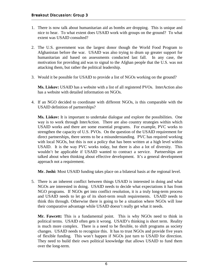- 1. There is now talk about humanitarian aid as bombs are dropping. This is unique and nice to hear. To what extent does USAID work with groups on the ground? To what extent was USAID consulted?
- 2. The U.S. government was the largest donor though the World Food Program to Afghanistan before the war. USAID was also trying to drum up greater support for humanitarian aid based on assessments conducted last fall. In any case, the motivation for providing aid was to signal to the Afghan people that the U.S. was not attacking them, but rather the political leadership.
- 3. Would it be possible for USAID to provide a list of NGOs working on the ground?

**Ms. Liskov:** USAID has a website with a list of all registered PVOs. InterAction also has a website with detailed information on NGOs.

4. If an NGO decided to coordinate with different NGOs, is this comparable with the USAID definition of partnerships?

**Ms. Liskov:** It is important to undertake dialogue and explore the possibilities. One way is to work through InterAction. There are also country strategies within which USAID works and there are some essential programs. For example, PVC works to strengthen the capacity of U.S. PVOs. On the question of the USAID requirement for direct partnerships, there seems to be a misunderstanding. PVC has required working with local NGOs, but this is not a policy that has been written at a high level within USAID. It is the way PVC works today, but there is also a lot of diversity. This wouldn't be applicable if USAID wanted to contract a service. Partnerships are talked about when thinking about effective development. It's a general development approach not a requirement.

**Mr. Joshi:** Most USAID funding takes place on a bilateral basis at the regional level.

5. There is an inherent conflict between things USAID is interested in doing and what NGOs are interested in doing. USAID needs to decide what expectations it has from NGO programs. If NGOs get into conflict resolution, it is a truly long-term process and USAID needs to let go of its short-term result requirements. USAID needs to think this through. Otherwise there is going to be a situation where NGOs will lose their comparative advantage while USAID doesn't really get what it needs.

**Mr. Fawcett:** This is a fundamental point. This is why NGOs need to think in political terms. USAID often gets it wrong. USAID's thinking is short term. Reality is much more complex. There is a need to be flexible, to shift programs as society changes. USAID needs to recognize this. It has to trust NGOs and provide five years of flexible funding. This won't happen if NGOs just turn to USAID for direction. They need to build their own political knowledge that allows USAID to fund them over the long-term.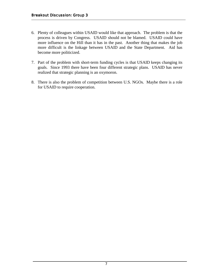- 6. Plenty of colleagues within USAID would like that approach. The problem is that the process is driven by Congress. USAID should not be blamed. USAID could have more influence on the Hill than it has in the past. Another thing that makes the job more difficult is the linkage between USAID and the State Department. Aid has become more politicized.
- 7. Part of the problem with short-term funding cycles is that USAID keeps changing its goals. Since 1993 there have been four different strategic plans. USAID has never realized that strategic planning is an oxymoron.
- 8. There is also the problem of competition between U.S. NGOs. Maybe there is a role for USAID to require cooperation.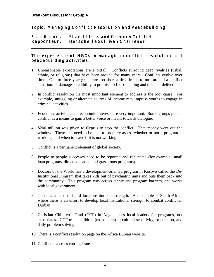#### **Topic: Managing Conflict Resolution and Peacebuilding**

#### **Facilitators:** Shamil Idriss and Gregory Gottlieb **Rapporteur: Rapporteur: Herschelle Sullivan Challenor Challenor \_\_\_\_\_\_\_\_\_\_\_\_\_\_\_\_\_\_\_\_\_\_\_\_\_\_\_\_\_\_\_\_\_\_\_\_\_\_\_\_\_\_\_\_\_\_\_\_\_\_\_\_\_\_\_\_\_\_\_\_\_\_\_\_\_\_\_\_\_\_\_\_**

#### The experience of NGOs in managing conflict resolution and **peacebuilding activities: activities:**

- 1. Unreasonable expectations are a pitfall. Conflicts surround deep rivalries (tribal, ethnic, or religious) that have been around for many years. Conflicts evolve over time. One to three year grants are too short a time frame to turn around a conflict situation. It damages credibility to promise to fix something and then not deliver.
- 2. In conflict resolution the most important element to address is the root cause. For example, smuggling or alternate sources of income may impress youths to engage in criminal activities.
- 3. Economic activities and economic interests are very important. Some groups pursue conflict as a means to gain a better voice or means towards dialogue.
- 4. \$200 million was given to Cyprus to stop the conflict. That money went out the window. There is a need to be able to properly assess whether or not a program is working, and when to leave if it is not working.
- 5. Conflict is a permanent element of global society.
- 6. People to people successes need to be reported and replicated (for example, small loan programs, direct education and grass roots programs).
- 7. Doctors of the World has a development-oriented program in Kosovo called the De-Institutional Program that takes kids out of psychiatric units and puts them back into the community. This program cuts across ethnic and program barriers, and works with local government.
- 8. There is a need to build local institutional strength. An example is South Africa where there is an effort to develop local institutional strength to combat conflict in Durban.
- 9. Christian Children's Fund (CCF) in Angola uses local leaders for programs, not expatriates. CCF trains children (ex-soldiers) in cultural sensitivity, orientation, and daily problem solving.
- 10. There is a conflict resolution page on the Africa Bureau website.
- 11. Conflict is a cross cutting issue.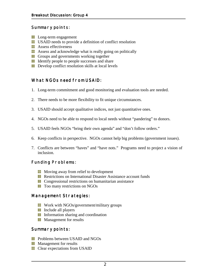#### **Summary points:**

- **Long-term engagement**
- **USAID** needs to provide a definition of conflict resolution
- **Assess effectiveness**
- **Assess and acknowledge what is really going on politically**
- **Groups and governments working together**
- In Identify people to people successes and share
- **Develop conflict resolution skills at local levels**

### **What NGOs need from USAID:**

- 1. Long-term commitment and good monitoring and evaluation tools are needed.
- 2. There needs to be more flexibility to fit unique circumstances.
- 3. USAID should accept qualitative indices, not just quantitative ones.
- 4. NGOs need to be able to respond to local needs without "pandering" to donors.
- 5. USAID feels NGOs "bring their own agenda" and "don't follow orders."
- 6. Keep conflicts in perspective. NGOs cannot help big problems (government issues).
- 7. Conflicts are between "haves" and "have nots." Programs need to project a vision of inclusion.

#### **Funding Problems: Funding Problems:**

- **Moving away from relief to development**
- **Restrictions on International Disaster Assistance account funds**
- **EX** Congressional restrictions on humanitarian assistance
- **The Too many restrictions on NGOs**

#### **Management Strategies:**

- **Work with NGOs/government/military groups**
- **Include all players**
- Information sharing and coordination
- **Management for results**

#### **Summary points:**

- **Problems between USAID and NGOs**
- **Management for results**
- **Exercise Clear expectations from USAID**